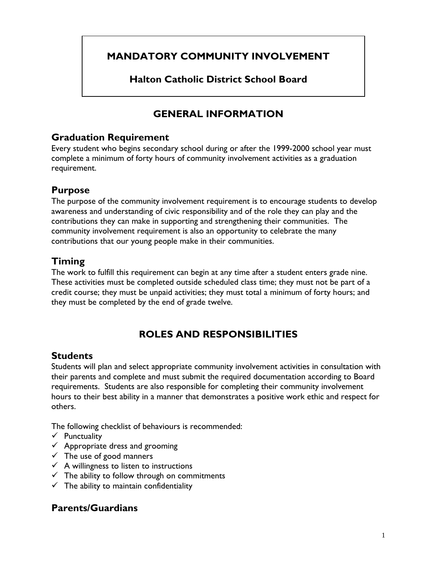# **MANDATORY COMMUNITY INVOLVEMENT**

**Halton Catholic District School Board** 

# **GENERAL INFORMATION**

### **Graduation Requirement**

Every student who begins secondary school during or after the 1999-2000 school year must complete a minimum of forty hours of community involvement activities as a graduation requirement.

## **Purpose**

The purpose of the community involvement requirement is to encourage students to develop awareness and understanding of civic responsibility and of the role they can play and the contributions they can make in supporting and strengthening their communities. The community involvement requirement is also an opportunity to celebrate the many contributions that our young people make in their communities.

## **Timing**

The work to fulfill this requirement can begin at any time after a student enters grade nine. These activities must be completed outside scheduled class time; they must not be part of a credit course; they must be unpaid activities; they must total a minimum of forty hours; and they must be completed by the end of grade twelve.

# **ROLES AND RESPONSIBILITIES**

#### **Students**

Students will plan and select appropriate community involvement activities in consultation with their parents and complete and must submit the required documentation according to Board requirements. Students are also responsible for completing their community involvement hours to their best ability in a manner that demonstrates a positive work ethic and respect for others.

The following checklist of behaviours is recommended:

- $\checkmark$  Punctuality
- $\checkmark$  Appropriate dress and grooming
- $\checkmark$  The use of good manners
- $\checkmark$  A willingness to listen to instructions
- $\checkmark$  The ability to follow through on commitments
- $\checkmark$  The ability to maintain confidentiality

## **Parents/Guardians**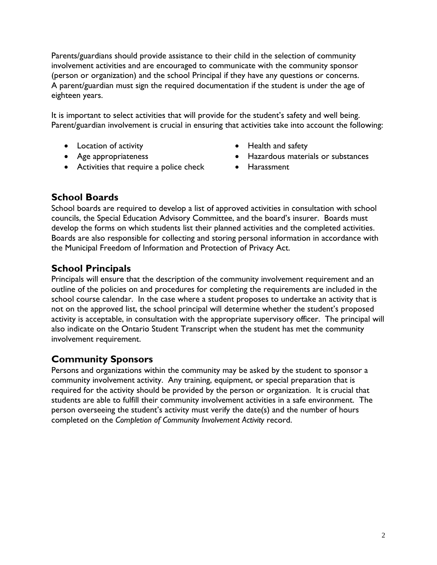Parents/guardians should provide assistance to their child in the selection of community involvement activities and are encouraged to communicate with the community sponsor (person or organization) and the school Principal if they have any questions or concerns. A parent/guardian must sign the required documentation if the student is under the age of eighteen years.

It is important to select activities that will provide for the student's safety and well being. Parent/guardian involvement is crucial in ensuring that activities take into account the following:

- Location of activity **•** Health and safety
- 
- Activities that require a police check Harassment
- 
- Age appropriateness Hazardous materials or substances
	-

## **School Boards**

School boards are required to develop a list of approved activities in consultation with school councils, the Special Education Advisory Committee, and the board's insurer. Boards must develop the forms on which students list their planned activities and the completed activities. Boards are also responsible for collecting and storing personal information in accordance with the Municipal Freedom of Information and Protection of Privacy Act.

## **School Principals**

Principals will ensure that the description of the community involvement requirement and an outline of the policies on and procedures for completing the requirements are included in the school course calendar. In the case where a student proposes to undertake an activity that is not on the approved list, the school principal will determine whether the student's proposed activity is acceptable, in consultation with the appropriate supervisory officer. The principal will also indicate on the Ontario Student Transcript when the student has met the community involvement requirement.

## **Community Sponsors**

Persons and organizations within the community may be asked by the student to sponsor a community involvement activity. Any training, equipment, or special preparation that is required for the activity should be provided by the person or organization. It is crucial that students are able to fulfill their community involvement activities in a safe environment. The person overseeing the student's activity must verify the date(s) and the number of hours completed on the *Completion of Community Involvement Activity* record.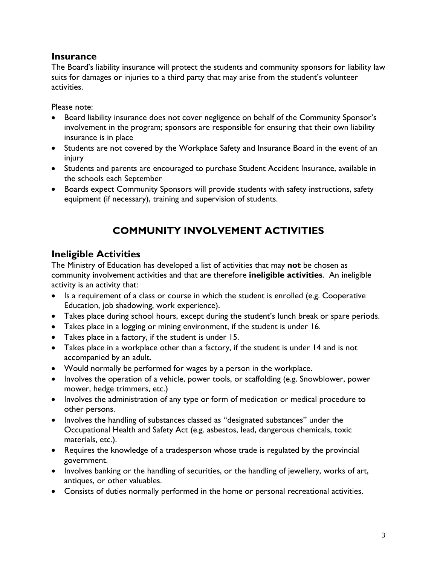#### **Insurance**

The Board's liability insurance will protect the students and community sponsors for liability law suits for damages or injuries to a third party that may arise from the student's volunteer activities.

Please note:

- Board liability insurance does not cover negligence on behalf of the Community Sponsor's involvement in the program; sponsors are responsible for ensuring that their own liability insurance is in place
- Students are not covered by the Workplace Safety and Insurance Board in the event of an injury
- Students and parents are encouraged to purchase Student Accident Insurance, available in the schools each September
- Boards expect Community Sponsors will provide students with safety instructions, safety equipment (if necessary), training and supervision of students.

# **COMMUNITY INVOLVEMENT ACTIVITIES**

## **Ineligible Activities**

The Ministry of Education has developed a list of activities that may **not** be chosen as community involvement activities and that are therefore **ineligible activities**. An ineligible activity is an activity that:

- Is a requirement of a class or course in which the student is enrolled (e.g. Cooperative Education, job shadowing, work experience).
- Takes place during school hours, except during the student's lunch break or spare periods.
- Takes place in a logging or mining environment, if the student is under 16.
- Takes place in a factory, if the student is under 15.
- Takes place in a workplace other than a factory, if the student is under 14 and is not accompanied by an adult.
- Would normally be performed for wages by a person in the workplace.
- Involves the operation of a vehicle, power tools, or scaffolding (e.g. Snowblower, power mower, hedge trimmers, etc.)
- Involves the administration of any type or form of medication or medical procedure to other persons.
- Involves the handling of substances classed as "designated substances" under the Occupational Health and Safety Act (e.g. asbestos, lead, dangerous chemicals, toxic materials, etc.).
- Requires the knowledge of a tradesperson whose trade is regulated by the provincial government.
- Involves banking or the handling of securities, or the handling of jewellery, works of art, antiques, or other valuables.
- Consists of duties normally performed in the home or personal recreational activities.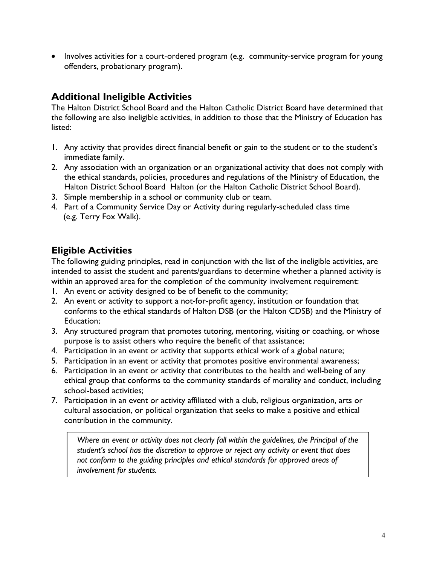• Involves activities for a court-ordered program (e.g. community-service program for young offenders, probationary program).

## **Additional Ineligible Activities**

The Halton District School Board and the Halton Catholic District Board have determined that the following are also ineligible activities, in addition to those that the Ministry of Education has listed:

- 1. Any activity that provides direct financial benefit or gain to the student or to the student's immediate family.
- 2. Any association with an organization or an organizational activity that does not comply with the ethical standards, policies, procedures and regulations of the Ministry of Education, the Halton District School Board Halton (or the Halton Catholic District School Board).
- 3. Simple membership in a school or community club or team.
- 4. Part of a Community Service Day or Activity during regularly-scheduled class time (e.g. Terry Fox Walk).

## **Eligible Activities**

The following guiding principles, read in conjunction with the list of the ineligible activities, are intended to assist the student and parents/guardians to determine whether a planned activity is within an approved area for the completion of the community involvement requirement:

- 1. An event or activity designed to be of benefit to the community;
- 2. An event or activity to support a not-for-profit agency, institution or foundation that conforms to the ethical standards of Halton DSB (or the Halton CDSB) and the Ministry of Education;
- 3. Any structured program that promotes tutoring, mentoring, visiting or coaching, or whose purpose is to assist others who require the benefit of that assistance;
- 4. Participation in an event or activity that supports ethical work of a global nature;
- 5. Participation in an event or activity that promotes positive environmental awareness;
- 6. Participation in an event or activity that contributes to the health and well-being of any ethical group that conforms to the community standards of morality and conduct, including school-based activities;
- 7. Participation in an event or activity affiliated with a club, religious organization, arts or cultural association, or political organization that seeks to make a positive and ethical contribution in the community.

*Where an event or activity does not clearly fall within the guidelines, the Principal of the student's school has the discretion to approve or reject any activity or event that does not conform to the guiding principles and ethical standards for approved areas of involvement for students.*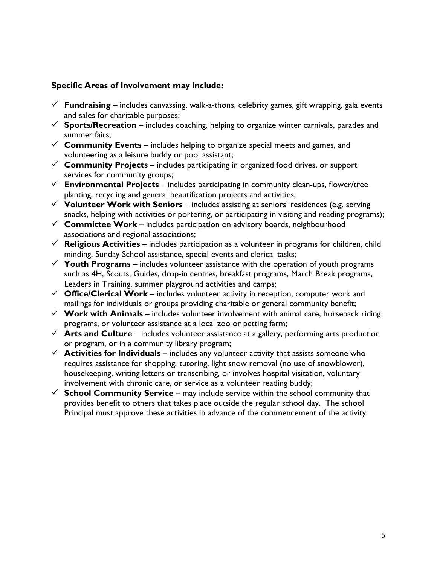#### **Specific Areas of Involvement may include:**

- $\checkmark$  **Fundraising** includes canvassing, walk-a-thons, celebrity games, gift wrapping, gala events and sales for charitable purposes;
- $\checkmark$  **Sports/Recreation** includes coaching, helping to organize winter carnivals, parades and summer fairs;
- $\checkmark$  Community Events includes helping to organize special meets and games, and volunteering as a leisure buddy or pool assistant;
- $\checkmark$  **Community Projects** includes participating in organized food drives, or support services for community groups;
- $\checkmark$  **Environmental Projects** includes participating in community clean-ups, flower/tree planting, recycling and general beautification projects and activities;
- 9 **Volunteer Work with Seniors** includes assisting at seniors' residences (e.g. serving snacks, helping with activities or portering, or participating in visiting and reading programs);
- $\checkmark$  **Committee Work** includes participation on advisory boards, neighbourhood associations and regional associations;
- $\checkmark$  **Religious Activities** includes participation as a volunteer in programs for children, child minding, Sunday School assistance, special events and clerical tasks;
- $\checkmark$  Youth Programs includes volunteer assistance with the operation of youth programs such as 4H, Scouts, Guides, drop-in centres, breakfast programs, March Break programs, Leaders in Training, summer playground activities and camps;
- $\checkmark$  **Office/Clerical Work** includes volunteer activity in reception, computer work and mailings for individuals or groups providing charitable or general community benefit;
- $\checkmark$  Work with Animals includes volunteer involvement with animal care, horseback riding programs, or volunteer assistance at a local zoo or petting farm;
- $\checkmark$  Arts and Culture includes volunteer assistance at a gallery, performing arts production or program, or in a community library program;
- $\checkmark$  **Activities for Individuals** includes any volunteer activity that assists someone who requires assistance for shopping, tutoring, light snow removal (no use of snowblower), housekeeping, writing letters or transcribing, or involves hospital visitation, voluntary involvement with chronic care, or service as a volunteer reading buddy;
- $\checkmark$  **School Community Service** may include service within the school community that provides benefit to others that takes place outside the regular school day. The school Principal must approve these activities in advance of the commencement of the activity.